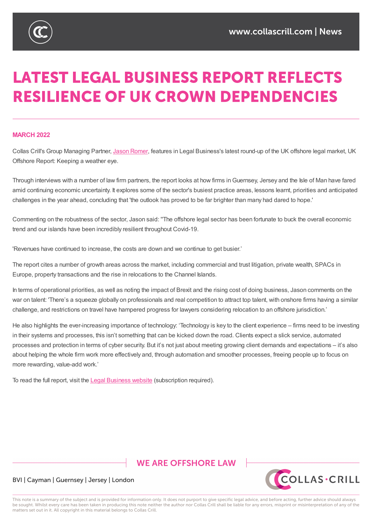

# **LATEST LEGAL BUSINESS REPORT REFLECTS RESILIENCE OF UK CROWN DEPENDENCIES**

## **MARCH 2022**

Collas Crill's Group Managing Partner, Jason Romer, features in Legal Business's latest round-up of the UK offshore legal market, UK Offshore Report: Keeping a weather eye.

Through interviews with a number of law firm [partners](https://www.collascrill.com/who-we-are/r/jason-romer/), the report looks at how firms inGuernsey, Jersey and the Isle of Man have fared amid continuing economic uncertainty. It explores some of the sector's busiest practice areas, lessons learnt, priorities and anticipated challenges in the year ahead, concluding that 'the outlook has proved to be far brighter than many had dared to hope.'

Commenting on the robustness of the sector, Jason said: ''The offshore legal sector has been fortunate to buck the overall economic trend and our islands have been incredibly resilient throughout Covid-19.

'Revenues have continued to increase, the costs are down and we continue to get busier.'

The report cites a number of growth areas across the market, including commercial and trust litigation, private wealth, SPACs in Europe, property transactions and the rise in relocations to the Channel Islands.

In terms of operational priorities, as well as noting the impact of Brexit and the rising cost of doing business, Jason comments on the war on talent: 'There's a squeeze globally on professionals and real competition to attract top talent, with onshore firms having a similar challenge, and restrictions on travel have hampered progress for lawyers considering relocation to an offshore jurisdiction.'

He also highlights the ever-increasing importance of technology: 'Technology is key to the client experience – firms need to be investing in their systems and processes, this isn't something that can be kicked down the road. Clients expect a slick service, automated processes and protection in terms of cyber security. But it's not just about meeting growing client demands and expectations – it's also about helping the whole firm work more effectively and, through automation and smoother processes, freeing people up to focus on more rewarding, value-add work.'

To read the full report, visit the Legal Business website (subscription required).

# **WE ARE OFFSHORE LAW**



## BVI | Cayman | Guernsey | Jersey | London

This note is a summary of the subject and is provided for information only. It does not purport to give specific legal advice, and before acting, further advice should always be sought. Whilst every care has been taken in producing this note neither the author nor Collas Crill shall be liable for any errors, misprint or misinterpretation of any of the matters set out in it. All copyright in this material belongs to Collas Crill.